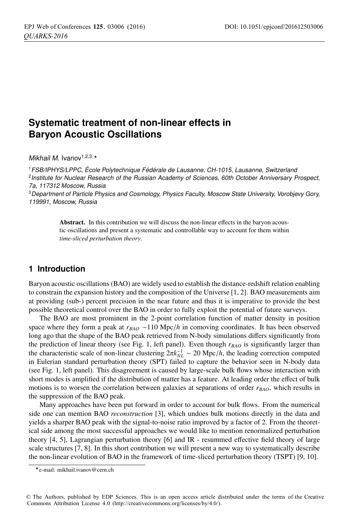# **Systematic treatment of non-linear effects in Baryon Acoustic Oscillations**

Mikhail M. Ivanov<sup>1,2,3,\*</sup>

<sup>1</sup>FSB/IPHYS/LPPC, École Polytechnique Fédérale de Lausanne, CH-1015, Lausanne, Switzerland <sup>2</sup> Institute for Nuclear Research of the Russian Academy of Sciences, 60th October Anniversary Prospect, 7a, 117312 Moscow, Russia

<sup>3</sup>Department of Particle Physics and Cosmology, Physics Faculty, Moscow State University, Vorobjevy Gory, 119991, Moscow, Russia

> Abstract. In this contribution we will discuss the non-linear effects in the baryon acoustic oscillations and present a systematic and controllable way to account for them within *time-sliced perturbation theory*.

## **1 Introduction**

Baryon acoustic oscillations (BAO) are widely used to establish the distance-redshift relation enabling to constrain the expansion history and the composition of the Universe [1, 2]. BAO measurements aim at providing (sub-) percent precision in the near future and thus it is imperative to provide the best possible theoretical control over the BAO in order to fully exploit the potential of future surveys.

The BAO are most prominent in the 2-point correlation function of matter density in position space where they form a peak at *r<sub>BAO</sub>* ∼110 Mpc/*h* in comoving coordinates. It has been observed long ago that the shape of the BAO peak retrieved from N-body simulations differs significantly from the prediction of linear theory (see Fig. 1, left panel). Even though  $r_{BAO}$  is significantly larger than the characteristic scale of non-linear clustering  $2\pi k_{NL}^{-1} \sim 20$  Mpc/*h*, the leading correction computed<br>in Eulerian standard perturbation theory (SPT) failed to canture the behavior seen in N-body data in Eulerian standard perturbation theory (SPT) failed to capture the behavior seen in N-body data (see Fig. 1, left panel). This disagreement is caused by large-scale bulk flows whose interaction with short modes is amplified if the distribution of matter has a feature. At leading order the effect of bulk motions is to worsen the correlation between galaxies at separations of order  $r_{BAO}$ , which results in the suppression of the BAO peak.

Many approaches have been put forward in order to account for bulk flows. From the numerical side one can mention BAO *reconstruction* [3], which undoes bulk motions directly in the data and yields a sharper BAO peak with the signal-to-noise ratio improved by a factor of 2. From the theoretical side among the most successful approaches we would like to mention renormalized perturbation theory [4, 5], Lagrangian perturbation theory [6] and IR - resummed effective field theory of large scale structures [7, 8]. In this short contribution we will present a new way to systematically describe the non-linear evolution of BAO in the framework of time-sliced perturbation theory (TSPT) [9, 10].

<sup>-</sup>e-mail: mikhail.ivanov@cern.ch

<sup>©</sup> The Authors, published by EDP Sciences. This is an open access article distributed under the terms of the Creative Commons Attribution License 4.0 (http://creativecommons.org/licenses/by/4.0/).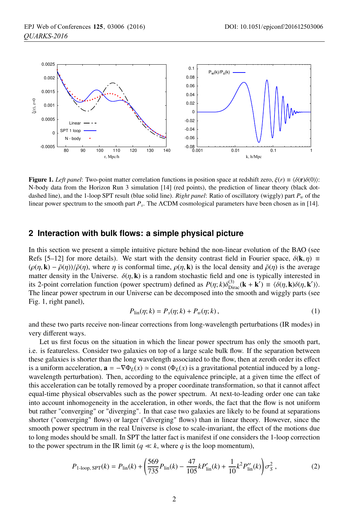

**Figure 1.** *Left panel*: Two-point matter correlation functions in position space at redshift zero,  $\xi(r) \equiv \langle \delta(\mathbf{r})\delta(0)\rangle$ : N-body data from the Horizon Run 3 simulation [14] (red points), the prediction of linear theory (black dotdashed line), and the 1-loop SPT result (blue solid line). *Right panel*: Ratio of oscillatory (wiggly) part  $P_w$  of the linear power spectrum to the smooth part *Ps*. The ΛCDM cosmological parameters have been chosen as in [14].

### **2 Interaction with bulk flows: a simple physical picture**

In this section we present a simple intuitive picture behind the non-linear evolution of the BAO (see Refs [5–12] for more details). We start with the density contrast field in Fourier space,  $\delta(\mathbf{k}, \eta) \equiv$  $(\rho(\eta, \mathbf{k}) - \bar{\rho}(\eta))/\bar{\rho}(\eta)$ , where  $\eta$  is conformal time,  $\rho(\eta, \mathbf{k})$  is the local density and  $\bar{\rho}(\eta)$  is the average matter density in the Universe.  $\delta(\eta, \mathbf{k})$  is a random stochastic field and one is typically i matter density in the Universe.  $\delta(\eta, \mathbf{k})$  is a random stochastic field and one is typically interested in<br>its 2-point correlation function (power spectrum) defined as  $P(n; k)\delta^{(3)}$   $(\mathbf{k} + \mathbf{k}') = (\delta(n; \mathbf{k})\delta(n; \mathbf{k}'))$ its 2-point correlation function (power spectrum) defined as  $P(\eta; k)\delta_{\text{Dirac}}^{(3)}(\mathbf{k} + \mathbf{k}') \equiv \langle \delta(\eta, \mathbf{k})\delta(\eta, \mathbf{k}') \rangle$ .<br>The linear power spectrum in our Universe can be decomposed into the smooth and wiggly parts (see The linear power spectrum in our Universe can be decomposed into the smooth and wiggly parts (see Fig. 1, right panel),

$$
P_{\text{lin}}(\eta; k) = P_s(\eta; k) + P_w(\eta; k), \qquad (1)
$$

and these two parts receive non-linear corrections from long-wavelength perturbations (IR modes) in very different ways.

Let us first focus on the situation in which the linear power spectrum has only the smooth part, i.e. is featureless. Consider two galaxies on top of a large scale bulk flow. If the separation between these galaxies is shorter than the long wavelength associated to the flow, then at zeroth order its effect is a uniform acceleration,  $\mathbf{a} = -\nabla \Phi_L(x) \approx \text{const} (\Phi_L(x))$  is a gravitational potential induced by a longwavelength perturbation). Then, according to the equivalence principle, at a given time the effect of this acceleration can be totally removed by a proper coordinate transformation, so that it cannot affect equal-time physical observables such as the power spectrum. At next-to-leading order one can take into account inhomogeneity in the acceleration, in other words, the fact that the flow is not uniform but rather "converging" or "diverging". In that case two galaxies are likely to be found at separations shorter ("converging" flows) or larger ("diverging" flows) than in linear theory. However, since the smooth power spectrum in the real Universe is close to scale-invariant, the effect of the motions due to long modes should be small. In SPT the latter fact is manifest if one considers the 1-loop correction to the power spectrum in the IR limit ( $q \ll k$ , where q is the loop momentum),

$$
P_{1\text{-loop, SPT}}(k) = P_{\text{lin}}(k) + \left(\frac{569}{735}P_{\text{lin}}(k) - \frac{47}{105}kP'_{\text{lin}}(k) + \frac{1}{10}k^2P''_{\text{lin}}(k)\right)\sigma_S^2\,,\tag{2}
$$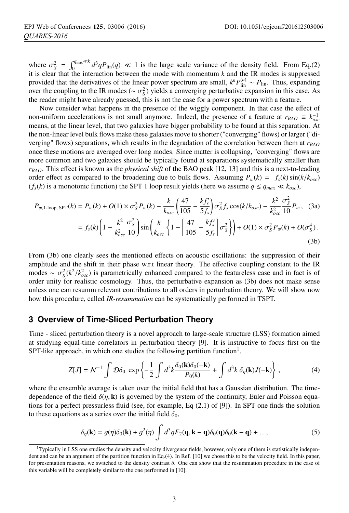where  $\sigma_S^2 = \int_0^{q_{\text{max}} \ll k} d^3q P_{\text{lin}}(q) \ll 1$  is the large scale variance of the density field. From Eq.(2) it is clear that the interaction between the mode with momentum k and the IR modes is suppressed it is clear that the interaction between the mode with momentum *k* and the IR modes is suppressed provided that the derivatives of the linear power spectrum are small,  $k^n P_{\text{lin}}^{(n)} \sim P_{\text{lin}}$ . Thus, expanding over the coupling to the IR modes ( $\sim \sigma_S^2$ ) yields a converging perturbative expansion in this case. As the reader might have already quessed this is not the case for a nower spectrum with a feature the reader might have already guessed, this is not the case for a power spectrum with a feature.

Now consider what happens in the presence of the wiggly component. In that case the effect of non-uniform accelerations is not small anymore. Indeed, the presence of a feature at  $r_{BAO} \equiv k_{osc}^{-1}$ means, at the linear level, that two galaxies have bigger probability to be found at this separation. At the non-linear level bulk flows make these galaxies move to shorter ("converging" flows) or larger ("diverging" flows) separations, which results in the degradation of the correlation between them at  $r_{BAO}$ once these motions are averaged over long modes. Since matter is collapsing, "converging" flows are more common and two galaxies should be typically found at separations systematically smaller than *rBAO*. This effect is known as the *physical shift* of the BAO peak [12, 13] and this is a next-to-leading order effect as compared to the broadening due to bulk flows. Assuming  $P_w(k) = f_s(k) \sin(k/k_{osc})$  $(f_s(k)$  is a monotonic function) the SPT 1 loop result yields (here we assume  $q \leq q_{max} \ll k_{osc}$ ),

$$
P_{w,1\text{-loop, SPT}}(k) = P_w(k) + O(1) \times \sigma_S^2 P_w(k) - \frac{k}{k_{osc}} \left( \frac{47}{105} - \frac{k f'_s}{5 f_s} \right) \sigma_S^2 f_s \cos(k / k_{osc}) - \frac{k^2}{k_{osc}^2} \frac{\sigma_S^2}{10} P_w , \quad (3a)
$$
  
=  $f_s(k) \left( 1 - \frac{k^2}{k_{osc}^2} \frac{\sigma_S^2}{10} \right) \sin \left( \frac{k}{k_{osc}} \left\{ 1 - \left[ \frac{47}{105} - \frac{k f'_s}{5 f_s} \right] \sigma_S^2 \right\} \right) + O(1) \times \sigma_S^2 P_w(k) + O(\sigma_S^4) .$  (3b)

From (3b) one clearly sees the mentioned effects on acoustic oscillations: the suppression of their amplitude and the shift in their phase w.r.t linear theory. The effective coupling constant to the IR modes ~  $\sigma_S^2(k^2/k_{osc}^2)$  is parametrically enhanced compared to the featureless case and in fact is of order unity for realistic cosmology. Thus, the perturbative expansion as (3b) does not make sense order unity for realistic cosmology. Thus, the perturbative expansion as (3b) does not make sense unless one can resumm relevant contributions to all orders in perturbation theory. We will show now how this procedure, called *IR-resummation* can be systematically performed in TSPT.

### **3 Overview of Time-Sliced Perturbation Theory**

Time - sliced perturbation theory is a novel approach to large-scale structure (LSS) formation aimed at studying equal-time correlators in perturbation theory [9]. It is instructive to focus first on the SPT-like approach, in which one studies the following partition function<sup>1</sup>,

$$
Z[J] = \mathcal{N}^{-1} \int \mathcal{D}\delta_0 \, \exp\left\{-\frac{1}{2} \int d^3k \frac{\delta_0(\mathbf{k})\delta_0(-\mathbf{k})}{P_0(k)} + \int d^3k \, \delta_\eta(\mathbf{k}) J(-\mathbf{k})\right\} \,,\tag{4}
$$

where the ensemble average is taken over the initial field that has a Gaussian distribution. The timedependence of the field  $\delta(\eta, \mathbf{k})$  is governed by the system of the continuity, Euler and Poisson equations for a perfect pressurless fluid (see, for example, Eq (2.1) of [9]). In SPT one finds the solution to these equations as a series over the initial field  $\delta_0$ ,

$$
\delta_{\eta}(\mathbf{k}) = g(\eta)\delta_0(\mathbf{k}) + g^2(\eta) \int d^3q F_2(\mathbf{q}, \mathbf{k} - \mathbf{q}) \delta_0(\mathbf{q}) \delta_0(\mathbf{k} - \mathbf{q}) + \dots,
$$
\n(5)

 $<sup>1</sup>$ Typically in LSS one studies the density and velocity divergence fields, however, only one of them is statistically indepen-</sup> dent and can be an argument of the partition function in Eq.(4). In Ref. [10] we chose this to be the velocity field. In this paper, for presentation reasons, we switched to the density contrast δ. One can show that the resummation procedure in the case of this variable will be completely similar to the one performed in [10].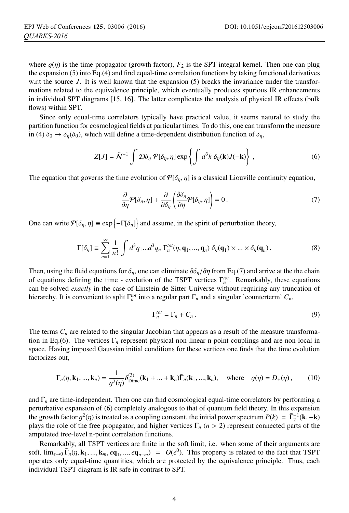where  $g(\eta)$  is the time propagator (growth factor),  $F_2$  is the SPT integral kernel. Then one can plug the expansion (5) into Eq.(4) and find equal-time correlation functions by taking functional derivatives w.r.t the source *J*. It is well known that the expansion (5) breaks the invariance under the transformations related to the equivalence principle, which eventually produces spurious IR enhancements in individual SPT diagrams [15, 16]. The latter complicates the analysis of physical IR effects (bulk flows) within SPT.

Since only equal-time correlators typically have practical value, it seems natural to study the partition function for cosmological fields at particular times. To do this, one can transform the measure in (4)  $\delta_0 \rightarrow \delta_{\eta}(\delta_0)$ , which will define a time-dependent distribution function of  $\delta_{\eta}$ ,

$$
Z[J] = \tilde{N}^{-1} \int \mathcal{D}\delta_{\eta} \mathcal{P}[\delta_{\eta}, \eta] \exp\left\{ \int d^{3}k \ \delta_{\eta}(\mathbf{k}) J(-\mathbf{k}) \right\},\tag{6}
$$

The equation that governs the time evolution of  $\mathcal{P}[\delta_n, \eta]$  is a classical Liouville continuity equation,

$$
\frac{\partial}{\partial \eta} \mathcal{P}[\delta_{\eta}, \eta] + \frac{\partial}{\partial \delta_{\eta}} \left( \frac{\partial \delta_{\eta}}{\partial \eta} \mathcal{P}[\delta_{\eta}, \eta] \right) = 0. \tag{7}
$$

One can write  $P[\delta_{\eta}, \eta] \equiv \exp\{-\Gamma[\delta_{\eta}]\}\$  and assume, in the spirit of perturbation theory,

$$
\Gamma[\delta_{\eta}] \equiv \sum_{n=1}^{\infty} \frac{1}{n!} \int d^3 q_1 ... d^3 q_n \Gamma_n^{tot}(\eta, \mathbf{q}_1, ..., \mathbf{q}_n) \, \delta_{\eta}(\mathbf{q}_1) \times ... \times \delta_{\eta}(\mathbf{q}_n).
$$
 (8)

Then, using the fluid equations for  $\delta_{\eta}$ , one can eliminate  $\partial \delta_{\eta}/\partial \eta$  from Eq.(7) and arrive at the the chain of equations defining the time - evolution of the TSPT vertices Γ<sup>*tot*</sup>. Remarkably, these equations can be solved *exactly* in the case of Einstein-de Sitter Universe without requiring any truncation of hierarchy. It is convenient to split  $\Gamma_n^{tot}$  into a regular part  $\Gamma_n$  and a singular 'counterterm'  $C_n$ ,

$$
\Gamma_n^{tot} = \Gamma_n + C_n \,. \tag{9}
$$

The terms  $C_n$  are related to the singular Jacobian that appears as a result of the measure transformation in Eq.(6). The vertices Γ*<sup>n</sup>* represent physical non-linear n-point couplings and are non-local in space. Having imposed Gaussian initial conditions for these vertices one finds that the time evolution factorizes out,

$$
\Gamma_n(\eta, \mathbf{k}_1, ..., \mathbf{k}_n) = \frac{1}{g^2(\eta)} \delta_{\text{Dirac}}^{(3)}(\mathbf{k}_1 + ... + \mathbf{k}_n) \overline{\Gamma}_n(\mathbf{k}_1, ..., \mathbf{k}_n), \quad \text{where} \quad g(\eta) = D_+(\eta), \tag{10}
$$

and  $\bar{\Gamma}_n$  are time-independent. Then one can find cosmological equal-time correlators by performing a perturbative expansion of (6) completely analogous to that of quantum field theory. In this expansion the growth factor  $g^2(\eta)$  is treated as a coupling constant, the initial power spectrum  $P(k) = \overline{\Gamma}_2^{-1}(\mathbf{k}, -\mathbf{k})$ <br>plays the role of the free propagator, and bigher vertices  $\overline{\Gamma}_2$  ( $\mu > 2$ ) represent connected parts plays the role of the free propagator, and higher vertices  $\bar{\Gamma}_n$  ( $n > 2$ ) represent connected parts of the amputated tree-level n-point correlation functions.

Remarkably, all TSPT vertices are finite in the soft limit, i.e. when some of their arguments are soft,  $\lim_{\epsilon \to 0} \bar{\Gamma}_n(\eta, \mathbf{k}_1, ..., \mathbf{k}_m, \epsilon \mathbf{q}_1, ..., \epsilon \mathbf{q}_{n-m}) = O(\epsilon^0)$ . This property is related to the fact that TSPT operates only equal-time quantities, which are protected by the equivalence principle. Thus, each operates only equal-time quantities, which are protected by the equivalence principle. Thus, each individual TSPT diagram is IR safe in contrast to SPT.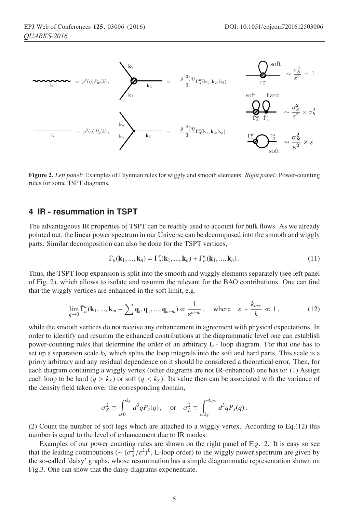

Figure 2. *Left panel:* Examples of Feynman rules for wiggly and smooth elements. *Right panel:* Power-counting rules for some TSPT diagrams.

## **4 IR - resummation in TSPT**

The advantageous IR properties of TSPT can be readily used to account for bulk flows. As we already pointed out, the linear power spectrum in our Universe can be decomposed into the smooth and wiggly parts. Similar decomposition can also be done for the TSPT vertices,

$$
\bar{\Gamma}_n(\mathbf{k}_1, ..., \mathbf{k}_n) = \bar{\Gamma}_n^s(\mathbf{k}_1, ..., \mathbf{k}_n) + \bar{\Gamma}_n^w(\mathbf{k}_1, ..., \mathbf{k}_n).
$$
\n(11)

Thus, the TSPT loop expansion is split into the smooth and wiggly elements separately (see left panel of Fig. 2), which allows to isolate and resumm the relevant for the BAO contributions. One can find that the wiggly vertices are enhanced in the soft limit, e.g.

$$
\lim_{q \to 0} \bar{\Gamma}_n^w(\mathbf{k}_1, ..., \mathbf{k}_m - \sum \mathbf{q}_i, \mathbf{q}_1, ..., \mathbf{q}_{n-m}) \propto \frac{1}{\varepsilon^{n-m}}, \quad \text{where} \quad \varepsilon \sim \frac{k_{osc}}{k} \ll 1, \tag{12}
$$

while the smooth vertices do not receive any enhancement in agreement with physical expectations. In order to identify and resumm the enhanced contributions at the diagrammatic level one can establish power-counting rules that determine the order of an arbitrary L - loop diagram. For that one has to set up a separation scale  $k<sub>S</sub>$  which splits the loop integrals into the soft and hard parts. This scale is a priory arbitrary and any residual dependence on it should be considered a theoretical error. Then, for each diagram containing a wiggly vertex (other diagrams are not IR-enhanced) one has to: (1) Assign each loop to be hard  $(q > k<sub>S</sub>)$  or soft  $(q < k<sub>S</sub>)$ . Its value then can be associated with the variance of the density field taken over the corresponding domain,

$$
\sigma_S^2 \equiv \int_0^{k_S} d^3q P_s(q) \,, \quad \text{or} \quad \sigma_h^2 \equiv \int_{k_S}^{\Lambda_{UV}} d^3q P_s(q) \,.
$$

(2) Count the number of soft legs which are attached to a wiggly vertex. According to Eq.(12) this number is equal to the level of enhancement due to IR modes.

Examples of our power counting rules are shown on the right panel of Fig. 2. It is easy so see that the leading contributions ( $\sim (\sigma_S^2/\varepsilon^2)^L$ , L-loop order) to the wiggly power spectrum are given by the so-called 'daisy' graphs, whose resummation has a simple diagrammatic representation shown on the so-called 'daisy' graphs, whose resummation has a simple diagrammatic representation shown on Fig.3. One can show that the daisy diagrams exponentiate,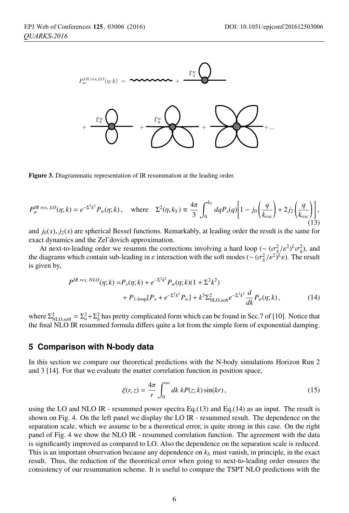

Figure 3. Diagrammatic representation of IR resummation at the leading order.

$$
P_w^{IR\ res,\ LO}(\eta;k) = e^{-\Sigma^2 k^2} P_w(\eta;k), \quad \text{where} \quad \Sigma^2(\eta,k_S) \equiv \frac{4\pi}{3} \int_0^{k_S} dq P_s(q) \left[ 1 - j_0 \left( \frac{q}{k_{osc}} \right) + 2j_2 \left( \frac{q}{k_{osc}} \right) \right], \tag{13}
$$

and  $j_0(x)$ ,  $j_2(x)$  are spherical Bessel functions. Remarkably, at leading order the result is the same for exact dynamics and the Zel'dovich approximation.

At next-to-leading order we resumm the corrections involving a hard loop ( $\sim (\sigma_S^2/\varepsilon^2)^L \sigma_h^2$ ), and diagrams which contain sub-leading in  $\varepsilon$  interaction with the soft modes ( $\sim (\sigma^2/\varepsilon^2)^L \varepsilon$ ). The result the diagrams which contain sub-leading in  $\varepsilon$  interaction with the soft modes (~  $(\sigma_S^2/\varepsilon^2)^L \varepsilon$ ). The result is given by is given by,

$$
P^{IR\ res,\ NLO}(\eta;k) = P_s(\eta;k) + e^{-\Sigma^2 k^2} P_w(\eta;k) (1 + \Sigma^2 k^2) + P_{1-loop}[P_s + e^{-\Sigma^2 k^2} P_w] + k^3 \Sigma_{\text{NLO,soft}}^2 e^{-\Sigma^2 k^2} \frac{d}{dk} P_w(\eta;k),
$$
(14)

where  $\Sigma_{\text{NLO,soft}}^2 = \Sigma_a^2 + \Sigma_b^2$  has pretty complicated form which can be found in Sec.7 of [10]. Notice that the final NLO IR resummed formula differs quite a lot from the simple form of exponential damping.

### **5 Comparison with N-body data**

In this section we compare our theoretical predictions with the N-body simulations Horizon Run 2 and 3 [14]. For that we evaluate the matter correlation function in position space,

$$
\xi(r,z) = \frac{4\pi}{r} \int_0^\infty dk \; kP(z;k)\sin(kr),\tag{15}
$$

using the LO and NLO IR - resummed power spectra Eq.(13) and Eq.(14) as an input. The result is shown on Fig. 4. On the left panel we display the LO IR - resummed result. The dependence on the separation scale, which we assume to be a theoretical error, is quite strong in this case. On the right panel of Fig. 4 we show the NLO IR - resummed correlation function. The agreement with the data is significantly improved as compared to LO. Also the dependence on the separation scale is reduced. This is an important observation because any dependence on  $k<sub>S</sub>$  must vanish, in principle, in the exact result. Thus, the reduction of the theoretical error when going to next-to-leading order ensures the consistency of our resummation scheme. It is useful to compare the TSPT NLO predictions with the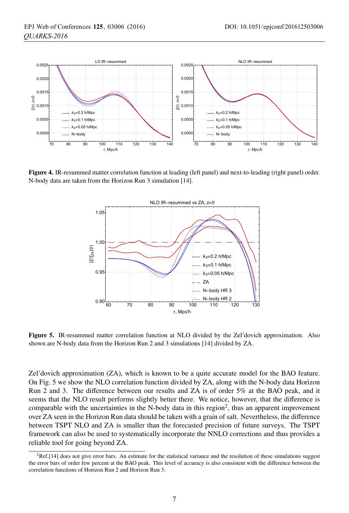

Figure 4. IR-resummed matter correlation function at leading (left panel) and next-to-leading (right panel) order. N-body data are taken from the Horizon Run 3 simulation [14].



Figure 5. IR-resummed matter correlation function at NLO divided by the Zel'dovich approximation. Also shown are N-body data from the Horizon Run 2 and 3 simulations [14] divided by ZA.

Zel'dovich approximation (ZA), which is known to be a quite accurate model for the BAO feature. On Fig. 5 we show the NLO correlation function divided by ZA, along with the N-body data Horizon Run 2 and 3. The difference between our results and ZA is of order 5% at the BAO peak, and it seems that the NLO result performs slightly better there. We notice, however, that the difference is comparable with the uncertainties in the N-body data in this region<sup>2</sup>, thus an apparent improvement over ZA seen in the Horizon Run data should be taken with a grain of salt. Nevertheless, the difference between TSPT NLO and ZA is smaller than the forecasted precision of future surveys. The TSPT framework can also be used to systematically incorporate the NNLO corrections and thus provides a reliable tool for going beyond ZA.

 ${}^{2}$ Ref.[14] does not give error bars. An estimate for the statistical variance and the resolution of these simulations suggest the error bars of order few percent at the BAO peak. This level of accuracy is also consistent with the difference between the correlation functions of Horizon Run 2 and Horizon Run 3.